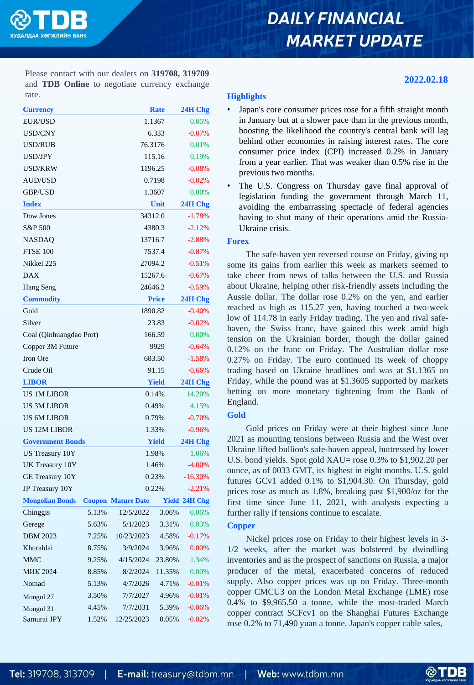

# **DAILY FINANCIAL MARKET UPDATE**

**2022.02.18**

Please contact with our dealers on **319708, 319709** and **TDB Online** to negotiate currency exchange rate.

| <b>Currency</b>         |               |                    | <b>Rate</b>  | 24H Chg  |  |
|-------------------------|---------------|--------------------|--------------|----------|--|
| EUR/USD                 |               |                    | 1.1367       | 0.05%    |  |
| <b>USD/CNY</b>          |               |                    | 6.333        |          |  |
| USD/RUB                 |               |                    | 76.3176      | 0.01%    |  |
| <b>USD/JPY</b>          |               |                    | 115.16       | 0.19%    |  |
| <b>USD/KRW</b>          |               |                    | 1196.25      | $-0.08%$ |  |
| <b>AUD/USD</b>          |               |                    | 0.7198       | $-0.02%$ |  |
| <b>GBP/USD</b>          |               | 1.3607             |              |          |  |
| <b>Index</b>            |               | Unit               |              |          |  |
| Dow Jones               |               | 34312.0            |              |          |  |
| S&P 500                 |               | 4380.3             |              |          |  |
| NASDAQ                  |               | 13716.7            |              |          |  |
| <b>FTSE 100</b>         |               | 7537.4             |              |          |  |
| Nikkei 225              |               | 27094.2            |              |          |  |
| <b>DAX</b>              |               | 15267.6            |              |          |  |
| Hang Seng               |               | 24646.2            |              |          |  |
| <b>Commodity</b>        |               | <b>Price</b>       |              |          |  |
| Gold                    |               | 1890.82            | $-0.40%$     |          |  |
| Silver                  |               | 23.83              |              |          |  |
| Coal (Qinhuangdao Port) |               | 166.59             |              |          |  |
| Copper 3M Future        |               |                    | 9929         | $-0.64%$ |  |
| Iron Ore                |               |                    | 683.50       | $-1.58%$ |  |
| Crude Oil               |               |                    | 91.15        |          |  |
| <b>LIBOR</b>            |               |                    | <b>Yield</b> |          |  |
| <b>US 1M LIBOR</b>      |               |                    | 0.14%        |          |  |
| <b>US 3M LIBOR</b>      |               |                    | 0.49%        |          |  |
| <b>US 6M LIBOR</b>      |               | 0.79%              |              |          |  |
| <b>US 12M LIBOR</b>     |               | 1.33%              |              |          |  |
| <b>Government Bonds</b> |               | <b>Yield</b>       |              |          |  |
| <b>US Treasury 10Y</b>  | 1.98%         | 1.06%              |              |          |  |
| UK Treasury 10Y         |               | 1.46%              | $-4.00%$     |          |  |
| <b>GE Treasury 10Y</b>  |               |                    | 0.23%        |          |  |
| JP Treasury 10Y         |               |                    | 0.22%        |          |  |
| <b>Mongolian Bonds</b>  | <b>Coupon</b> | <b>Mature Date</b> | <b>Yield</b> | 24H Chg  |  |
| Chinggis                | 5.13%         | 12/5/2022          | 3.06%        | 0.06%    |  |
| Gerege                  | 5.63%         | 5/1/2023           | 3.31%        | 0.03%    |  |
| <b>DBM 2023</b>         | 7.25%         | 10/23/2023         | 4.58%        | $-0.17%$ |  |
| Khuraldai               | 8.75%         | 3/9/2024           | 3.96%        | 0.00%    |  |
| <b>MMC</b>              | 9.25%         | 4/15/2024          | 23.80%       | 1.34%    |  |
| <b>MIK 2024</b>         | 8.85%         | 8/2/2024           | 11.35%       | 0.00%    |  |
| Nomad                   | 5.13%         | 4/7/2026           | 4.71%        | $-0.01%$ |  |
| Mongol 27               | 3.50%         | 7/7/2027           | 4.96%        | $-0.01%$ |  |
| Mongol 31               | 4.45%         | 7/7/2031           | 5.39%        | $-0.06%$ |  |
| Samurai JPY             | 1.52%         | 12/25/2023         | 0.05%        | $-0.02%$ |  |

# **Highlights**

- Japan's core consumer prices rose for a fifth straight month in January but at a slower pace than in the previous month, boosting the likelihood the country's central bank will lag behind other economies in raising interest rates. The core consumer price index (CPI) increased 0.2% in January from a year earlier. That was weaker than 0.5% rise in the previous two months.
- The U.S. Congress on Thursday gave final approval of legislation funding the government through March 11, avoiding the embarrassing spectacle of federal agencies having to shut many of their operations amid the Russia-Ukraine crisis.

## **Forex**

The safe-haven yen reversed course on Friday, giving up some its gains from earlier this week as markets seemed to take cheer from news of talks between the U.S. and Russia about Ukraine, helping other risk-friendly assets including the Aussie dollar. The dollar rose 0.2% on the yen, and earlier reached as high as 115.27 yen, having touched a two-week low of 114.78 in early Friday trading. The yen and rival safehaven, the Swiss franc, have gained this week amid high tension on the Ukrainian border, though the dollar gained 0.12% on the franc on Friday. The Australian dollar rose 0.27% on Friday. The euro continued its week of choppy trading based on Ukraine headlines and was at \$1.1365 on Friday, while the pound was at \$1.3605 supported by markets betting on more monetary tightening from the Bank of England.

## **Gold**

Gold prices on Friday were at their highest since June 2021 as mounting tensions between Russia and the West over Ukraine lifted bullion's safe-haven appeal, buttressed by lower U.S. bond yields. Spot gold XAU= rose 0.3% to \$1,902.20 per ounce, as of 0033 GMT, its highest in eight months. U.S. gold futures GCv1 added 0.1% to \$1,904.30. On Thursday, gold prices rose as much as 1.8%, breaking past \$1,900/oz for the first time since June 11, 2021, with analysts expecting a further rally if tensions continue to escalate.

# **Copper**

Nickel prices rose on Friday to their highest levels in 3- 1/2 weeks, after the market was bolstered by dwindling inventories and as the prospect of sanctions on Russia, a major producer of the metal, exacerbated concerns of reduced supply. Also copper prices was up on Friday. Three-month copper CMCU3 on the London Metal Exchange (LME) rose 0.4% to \$9,965.50 a tonne, while the most-traded March copper contract SCFcv1 on the Shanghai Futures Exchange rose 0.2% to 71,490 yuan a tonne. Japan's copper cable sales,